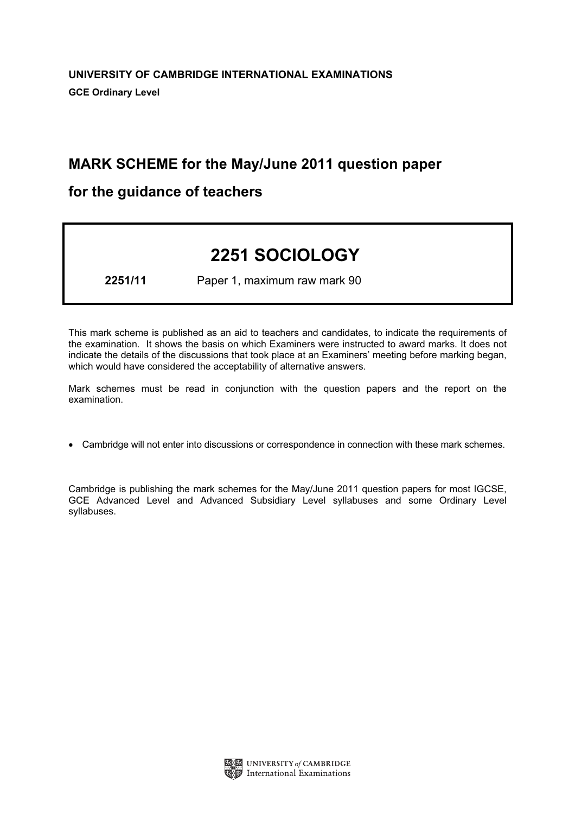# MARK SCHEME for the May/June 2011 question paper

# for the guidance of teachers

# 2251 SOCIOLOGY

2251/11 Paper 1, maximum raw mark 90

This mark scheme is published as an aid to teachers and candidates, to indicate the requirements of the examination. It shows the basis on which Examiners were instructed to award marks. It does not indicate the details of the discussions that took place at an Examiners' meeting before marking began, which would have considered the acceptability of alternative answers.

Mark schemes must be read in conjunction with the question papers and the report on the examination.

*•* Cambridge will not enter into discussions or correspondence in connection with these mark schemes.

Cambridge is publishing the mark schemes for the May/June 2011 question papers for most IGCSE, GCE Advanced Level and Advanced Subsidiary Level syllabuses and some Ordinary Level syllabuses.

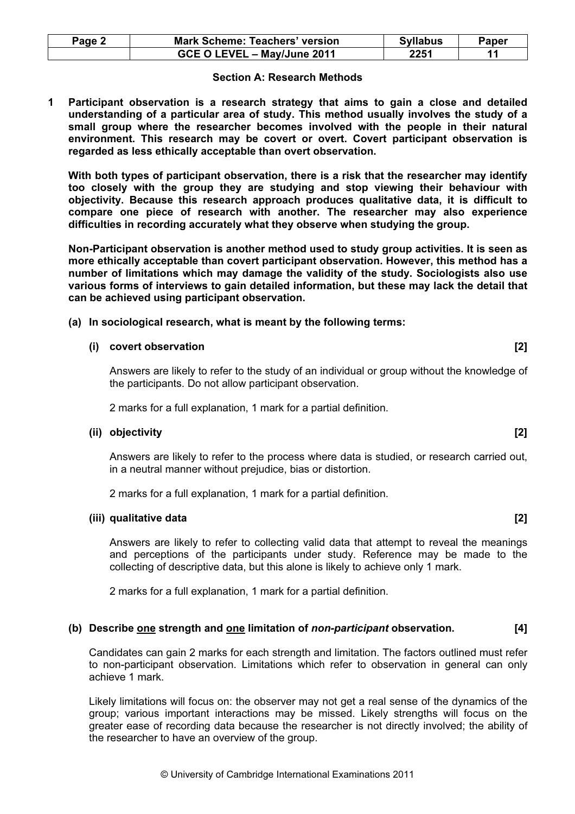| Page 2 | <b>Mark Scheme: Teachers' version</b> | <b>Syllabus</b> | Paper |
|--------|---------------------------------------|-----------------|-------|
|        | GCE O LEVEL - May/June 2011           | 2251            |       |

#### Section A: Research Methods

1 Participant observation is a research strategy that aims to gain a close and detailed understanding of a particular area of study. This method usually involves the study of a small group where the researcher becomes involved with the people in their natural environment. This research may be covert or overt. Covert participant observation is regarded as less ethically acceptable than overt observation.

With both types of participant observation, there is a risk that the researcher may identify too closely with the group they are studying and stop viewing their behaviour with objectivity. Because this research approach produces qualitative data, it is difficult to compare one piece of research with another. The researcher may also experience difficulties in recording accurately what they observe when studying the group.

 Non-Participant observation is another method used to study group activities. It is seen as more ethically acceptable than covert participant observation. However, this method has a number of limitations which may damage the validity of the study. Sociologists also use various forms of interviews to gain detailed information, but these may lack the detail that can be achieved using participant observation.

#### (a) In sociological research, what is meant by the following terms:

#### (i) covert observation in the covert observation of the covert observation of the covert observation of the covert of the covert observation of the covert observation of the covert observation of the covert observation of

Answers are likely to refer to the study of an individual or group without the knowledge of the participants. Do not allow participant observation.

2 marks for a full explanation, 1 mark for a partial definition.

#### (ii) objectivity [2]

Answers are likely to refer to the process where data is studied, or research carried out, in a neutral manner without prejudice, bias or distortion.

2 marks for a full explanation, 1 mark for a partial definition.

#### (iii) qualitative data [2]

Answers are likely to refer to collecting valid data that attempt to reveal the meanings and perceptions of the participants under study. Reference may be made to the collecting of descriptive data, but this alone is likely to achieve only 1 mark.

2 marks for a full explanation, 1 mark for a partial definition.

# (b) Describe one strength and one limitation of non-participant observation. [4]

 Candidates can gain 2 marks for each strength and limitation. The factors outlined must refer to non-participant observation. Limitations which refer to observation in general can only achieve 1 mark.

 Likely limitations will focus on: the observer may not get a real sense of the dynamics of the group; various important interactions may be missed. Likely strengths will focus on the greater ease of recording data because the researcher is not directly involved; the ability of the researcher to have an overview of the group.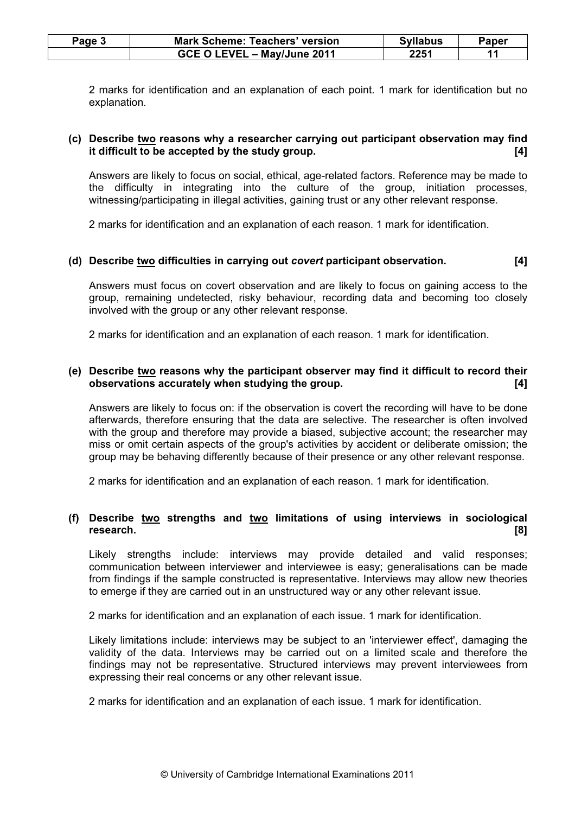| Page 3 | <b>Mark Scheme: Teachers' version</b> | <b>Syllabus</b> | Paper |
|--------|---------------------------------------|-----------------|-------|
|        | GCE O LEVEL - May/June 2011           | 2251            |       |

 2 marks for identification and an explanation of each point. 1 mark for identification but no explanation.

# (c) Describe two reasons why a researcher carrying out participant observation may find it difficult to be accepted by the study group. [4]

 Answers are likely to focus on social, ethical, age-related factors. Reference may be made to the difficulty in integrating into the culture of the group, initiation processes, witnessing/participating in illegal activities, gaining trust or any other relevant response.

2 marks for identification and an explanation of each reason. 1 mark for identification.

# (d) Describe two difficulties in carrying out covert participant observation. [4]

 Answers must focus on covert observation and are likely to focus on gaining access to the group, remaining undetected, risky behaviour, recording data and becoming too closely involved with the group or any other relevant response.

2 marks for identification and an explanation of each reason. 1 mark for identification.

# (e) Describe two reasons why the participant observer may find it difficult to record their observations accurately when studying the group. [4]

 Answers are likely to focus on: if the observation is covert the recording will have to be done afterwards, therefore ensuring that the data are selective. The researcher is often involved with the group and therefore may provide a biased, subjective account; the researcher may miss or omit certain aspects of the group's activities by accident or deliberate omission; the group may be behaving differently because of their presence or any other relevant response.

2 marks for identification and an explanation of each reason. 1 mark for identification.

# (f) Describe two strengths and two limitations of using interviews in sociological research. [8]

 Likely strengths include: interviews may provide detailed and valid responses; communication between interviewer and interviewee is easy; generalisations can be made from findings if the sample constructed is representative. Interviews may allow new theories to emerge if they are carried out in an unstructured way or any other relevant issue.

2 marks for identification and an explanation of each issue. 1 mark for identification.

 Likely limitations include: interviews may be subject to an 'interviewer effect', damaging the validity of the data. Interviews may be carried out on a limited scale and therefore the findings may not be representative. Structured interviews may prevent interviewees from expressing their real concerns or any other relevant issue.

2 marks for identification and an explanation of each issue. 1 mark for identification.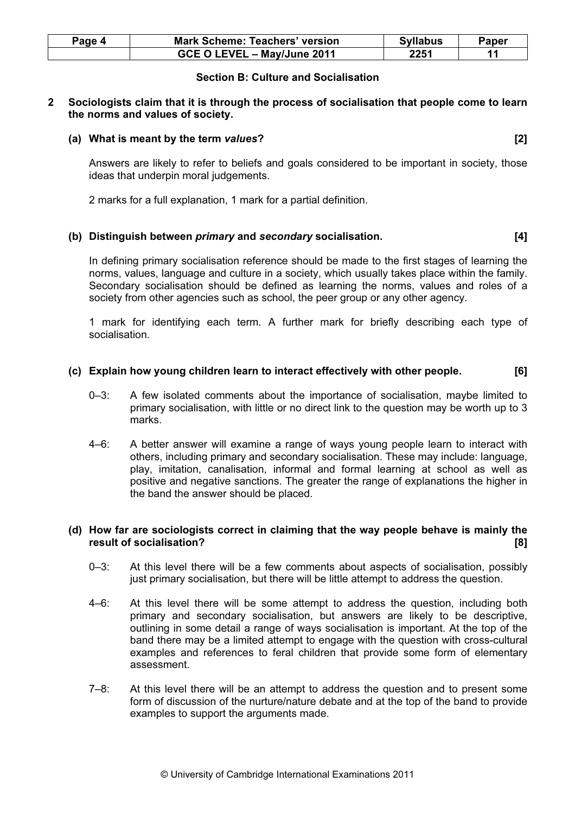| Page 4 | <b>Mark Scheme: Teachers' version</b> | <b>Syllabus</b> | Paper |
|--------|---------------------------------------|-----------------|-------|
|        | GCE O LEVEL - May/June 2011           | 2251            |       |

# Section B: Culture and Socialisation

## 2 Sociologists claim that it is through the process of socialisation that people come to learn the norms and values of society.

# (a) What is meant by the term values? [2]

 Answers are likely to refer to beliefs and goals considered to be important in society, those ideas that underpin moral judgements.

2 marks for a full explanation, 1 mark for a partial definition.

# (b) Distinguish between primary and secondary socialisation. [4]

 In defining primary socialisation reference should be made to the first stages of learning the norms, values, language and culture in a society, which usually takes place within the family. Secondary socialisation should be defined as learning the norms, values and roles of a society from other agencies such as school, the peer group or any other agency.

 1 mark for identifying each term. A further mark for briefly describing each type of socialisation.

# (c) Explain how young children learn to interact effectively with other people. [6]

- 0–3: A few isolated comments about the importance of socialisation, maybe limited to primary socialisation, with little or no direct link to the question may be worth up to 3 marks.
- 4–6: A better answer will examine a range of ways young people learn to interact with others, including primary and secondary socialisation. These may include: language, play, imitation, canalisation, informal and formal learning at school as well as positive and negative sanctions. The greater the range of explanations the higher in the band the answer should be placed.

# (d) How far are sociologists correct in claiming that the way people behave is mainly the result of socialisation? [8] **[8] http://www.file.com/integration** [8] **http://www.file.com/integration** [8] **http://www.file.com/integration** [8] **http://www.file.com/integration** [8] **http://www.file.com/integration** [

- $0-3$ : At this level there will be a few comments about aspects of socialisation, possibly just primary socialisation, but there will be little attempt to address the question.
- 4–6: At this level there will be some attempt to address the question, including both primary and secondary socialisation, but answers are likely to be descriptive, outlining in some detail a range of ways socialisation is important. At the top of the band there may be a limited attempt to engage with the question with cross-cultural examples and references to feral children that provide some form of elementary assessment.
- 7–8: At this level there will be an attempt to address the question and to present some form of discussion of the nurture/nature debate and at the top of the band to provide examples to support the arguments made.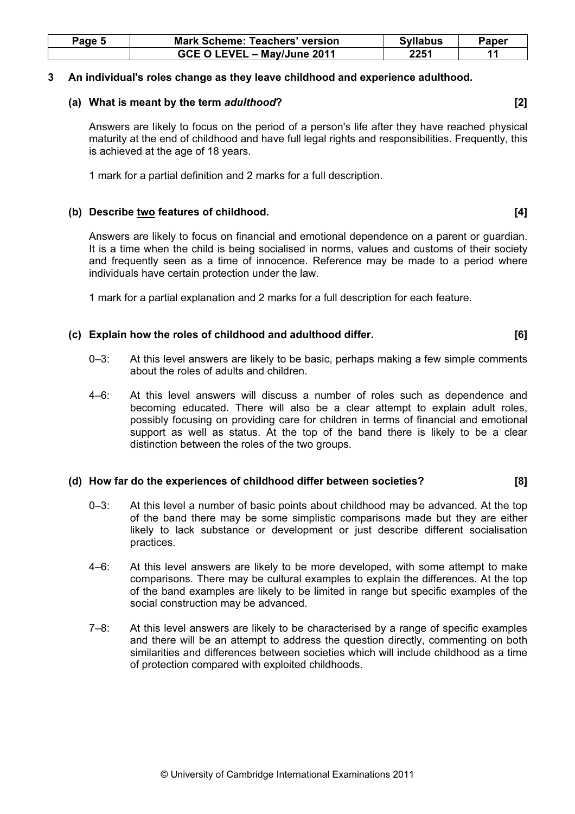| Page 5 | <b>Mark Scheme: Teachers' version</b> | <b>Syllabus</b> | Paper |
|--------|---------------------------------------|-----------------|-------|
|        | GCE O LEVEL - May/June 2011           | 2251            |       |

## 3 An individual's roles change as they leave childhood and experience adulthood.

# (a) What is meant by the term adulthood? *(a)* What is meant by the term adulthood?

 Answers are likely to focus on the period of a person's life after they have reached physical maturity at the end of childhood and have full legal rights and responsibilities. Frequently, this is achieved at the age of 18 years.

1 mark for a partial definition and 2 marks for a full description.

# (b) Describe two features of childhood. [4] (b)  $(4)$

 Answers are likely to focus on financial and emotional dependence on a parent or guardian. It is a time when the child is being socialised in norms, values and customs of their society and frequently seen as a time of innocence. Reference may be made to a period where individuals have certain protection under the law.

1 mark for a partial explanation and 2 marks for a full description for each feature.

# (c) Explain how the roles of childhood and adulthood differ. [6]

- 0–3: At this level answers are likely to be basic, perhaps making a few simple comments about the roles of adults and children.
- 4–6: At this level answers will discuss a number of roles such as dependence and becoming educated. There will also be a clear attempt to explain adult roles, possibly focusing on providing care for children in terms of financial and emotional support as well as status. At the top of the band there is likely to be a clear distinction between the roles of the two groups.

# (d) How far do the experiences of childhood differ between societies? [8]

- 0–3: At this level a number of basic points about childhood may be advanced. At the top of the band there may be some simplistic comparisons made but they are either likely to lack substance or development or just describe different socialisation practices.
- 4–6: At this level answers are likely to be more developed, with some attempt to make comparisons. There may be cultural examples to explain the differences. At the top of the band examples are likely to be limited in range but specific examples of the social construction may be advanced.
- 7–8: At this level answers are likely to be characterised by a range of specific examples and there will be an attempt to address the question directly, commenting on both similarities and differences between societies which will include childhood as a time of protection compared with exploited childhoods.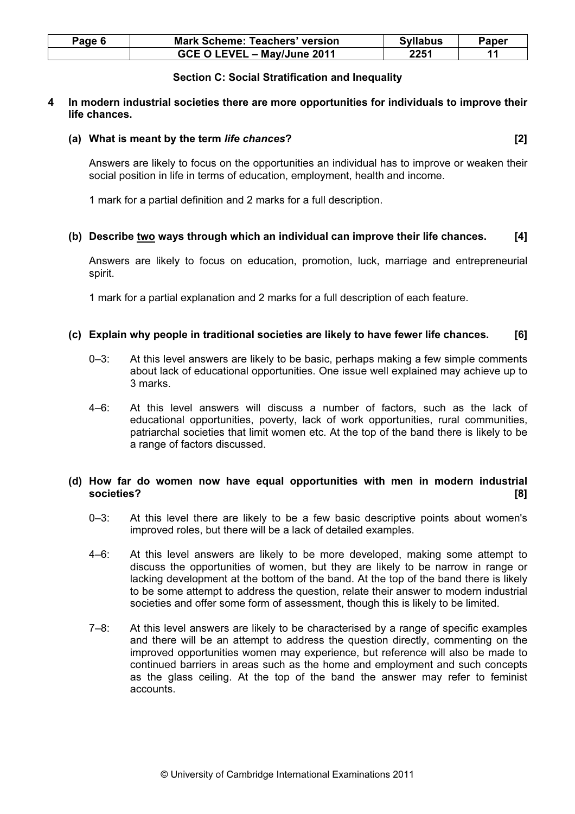| Page 6 | <b>Mark Scheme: Teachers' version</b> | <b>Syllabus</b> | Paper |
|--------|---------------------------------------|-----------------|-------|
|        | GCE O LEVEL - May/June 2011           | 2251            |       |

# Section C: Social Stratification and Inequality

## 4 In modern industrial societies there are more opportunities for individuals to improve their life chances.

#### (a) What is meant by the term life chances? [2]

 Answers are likely to focus on the opportunities an individual has to improve or weaken their social position in life in terms of education, employment, health and income.

1 mark for a partial definition and 2 marks for a full description.

# (b) Describe two ways through which an individual can improve their life chances.  $[4]$

 Answers are likely to focus on education, promotion, luck, marriage and entrepreneurial spirit.

1 mark for a partial explanation and 2 marks for a full description of each feature.

# (c) Explain why people in traditional societies are likely to have fewer life chances. [6]

- 0–3: At this level answers are likely to be basic, perhaps making a few simple comments about lack of educational opportunities. One issue well explained may achieve up to 3 marks.
- 4–6: At this level answers will discuss a number of factors, such as the lack of educational opportunities, poverty, lack of work opportunities, rural communities, patriarchal societies that limit women etc. At the top of the band there is likely to be a range of factors discussed.

# (d) How far do women now have equal opportunities with men in modern industrial societies? [8]

- 0–3: At this level there are likely to be a few basic descriptive points about women's improved roles, but there will be a lack of detailed examples.
- 4–6: At this level answers are likely to be more developed, making some attempt to discuss the opportunities of women, but they are likely to be narrow in range or lacking development at the bottom of the band. At the top of the band there is likely to be some attempt to address the question, relate their answer to modern industrial societies and offer some form of assessment, though this is likely to be limited.
- 7–8: At this level answers are likely to be characterised by a range of specific examples and there will be an attempt to address the question directly, commenting on the improved opportunities women may experience, but reference will also be made to continued barriers in areas such as the home and employment and such concepts as the glass ceiling. At the top of the band the answer may refer to feminist accounts.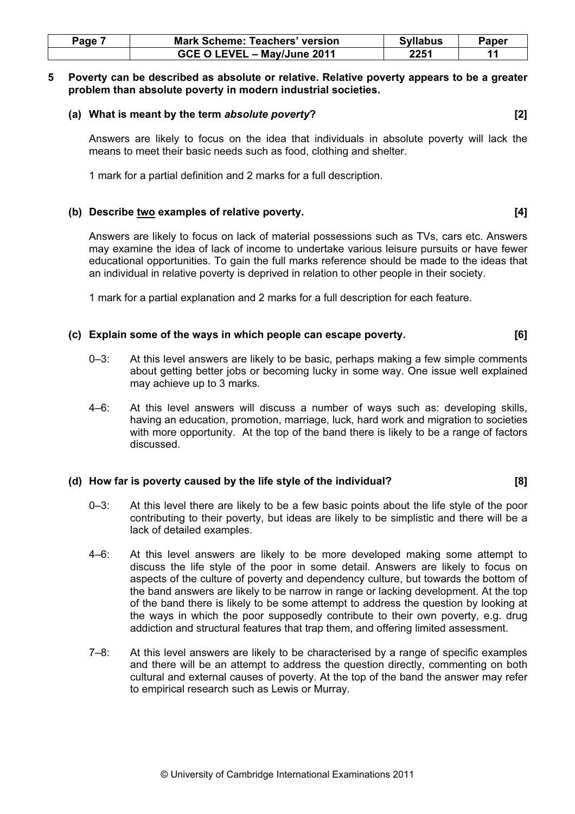| Page. | <b>Mark Scheme: Teachers' version</b> | <b>Syllabus</b> | Paper |
|-------|---------------------------------------|-----------------|-------|
|       | GCE O LEVEL - May/June 2011           | 2251            |       |

#### 5 Poverty can be described as absolute or relative. Relative poverty appears to be a greater problem than absolute poverty in modern industrial societies.

#### (a) What is meant by the term absolute poverty? [2]

 Answers are likely to focus on the idea that individuals in absolute poverty will lack the means to meet their basic needs such as food, clothing and shelter.

1 mark for a partial definition and 2 marks for a full description.

# (b) Describe two examples of relative poverty. (4) (b)  $\blacksquare$  [4]

 Answers are likely to focus on lack of material possessions such as TVs, cars etc. Answers may examine the idea of lack of income to undertake various leisure pursuits or have fewer educational opportunities. To gain the full marks reference should be made to the ideas that an individual in relative poverty is deprived in relation to other people in their society.

1 mark for a partial explanation and 2 marks for a full description for each feature.

# (c) Explain some of the ways in which people can escape poverty. [6]

- 0–3: At this level answers are likely to be basic, perhaps making a few simple comments about getting better jobs or becoming lucky in some way. One issue well explained may achieve up to 3 marks.
- 4–6: At this level answers will discuss a number of ways such as: developing skills, having an education, promotion, marriage, luck, hard work and migration to societies with more opportunity. At the top of the band there is likely to be a range of factors discussed.

#### (d) How far is poverty caused by the life style of the individual? [8]

- 0-3: At this level there are likely to be a few basic points about the life style of the poor contributing to their poverty, but ideas are likely to be simplistic and there will be a lack of detailed examples.
- 4–6: At this level answers are likely to be more developed making some attempt to discuss the life style of the poor in some detail. Answers are likely to focus on aspects of the culture of poverty and dependency culture, but towards the bottom of the band answers are likely to be narrow in range or lacking development. At the top of the band there is likely to be some attempt to address the question by looking at the ways in which the poor supposedly contribute to their own poverty, e.g. drug addiction and structural features that trap them, and offering limited assessment.
- 7–8: At this level answers are likely to be characterised by a range of specific examples and there will be an attempt to address the question directly, commenting on both cultural and external causes of poverty. At the top of the band the answer may refer to empirical research such as Lewis or Murray.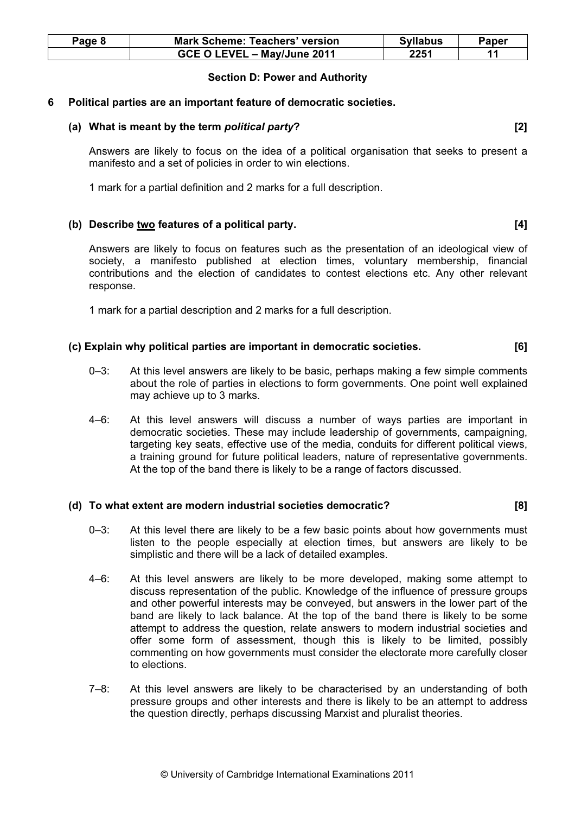| Page 8 | <b>Mark Scheme: Teachers' version</b> | <b>Syllabus</b> | Paper |
|--------|---------------------------------------|-----------------|-------|
|        | GCE O LEVEL - May/June 2011           | 2251            |       |

# Section D: Power and Authority

#### 6 Political parties are an important feature of democratic societies.

#### (a) What is meant by the term *political party*? [2] [2]

 Answers are likely to focus on the idea of a political organisation that seeks to present a manifesto and a set of policies in order to win elections.

1 mark for a partial definition and 2 marks for a full description.

# (b) Describe two features of a political party. (4) (b)  $(4)$

 Answers are likely to focus on features such as the presentation of an ideological view of society, a manifesto published at election times, voluntary membership, financial contributions and the election of candidates to contest elections etc. Any other relevant response.

1 mark for a partial description and 2 marks for a full description.

# (c) Explain why political parties are important in democratic societies. [6]

- 0–3: At this level answers are likely to be basic, perhaps making a few simple comments about the role of parties in elections to form governments. One point well explained may achieve up to 3 marks.
- 4–6: At this level answers will discuss a number of ways parties are important in democratic societies. These may include leadership of governments, campaigning, targeting key seats, effective use of the media, conduits for different political views, a training ground for future political leaders, nature of representative governments. At the top of the band there is likely to be a range of factors discussed.

#### (d) To what extent are modern industrial societies democratic? [8]

- 0-3: At this level there are likely to be a few basic points about how governments must listen to the people especially at election times, but answers are likely to be simplistic and there will be a lack of detailed examples.
- 4–6: At this level answers are likely to be more developed, making some attempt to discuss representation of the public. Knowledge of the influence of pressure groups and other powerful interests may be conveyed, but answers in the lower part of the band are likely to lack balance. At the top of the band there is likely to be some attempt to address the question, relate answers to modern industrial societies and offer some form of assessment, though this is likely to be limited, possibly commenting on how governments must consider the electorate more carefully closer to elections.
- 7–8: At this level answers are likely to be characterised by an understanding of both pressure groups and other interests and there is likely to be an attempt to address the question directly, perhaps discussing Marxist and pluralist theories.